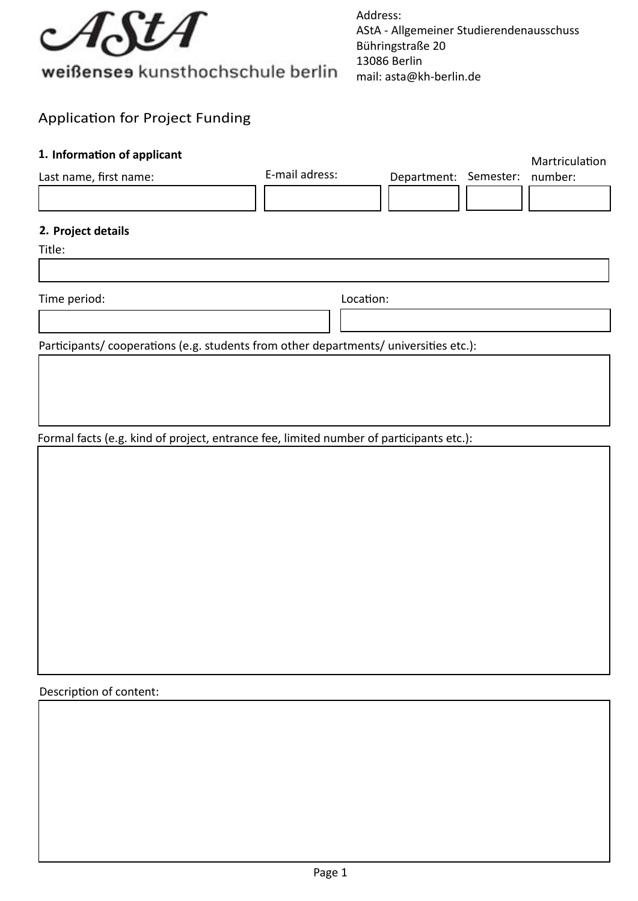

Address: AStA - Allgemeiner Studierendenausschuss Bühringstraße 20 13086 Berlin mail: asta@kh-berlin.de

## Application for Project Funding

# Last name, first name: Martriculation Department: Semester: number: Title: Time period: **1. Information of applicant 2. Project details**  Participants/ cooperations (e.g. students from other departments/ universities etc.): Location: E-mail adress:

Formal facts (e.g. kind of project, entrance fee, limited number of participants etc.):

Description of content: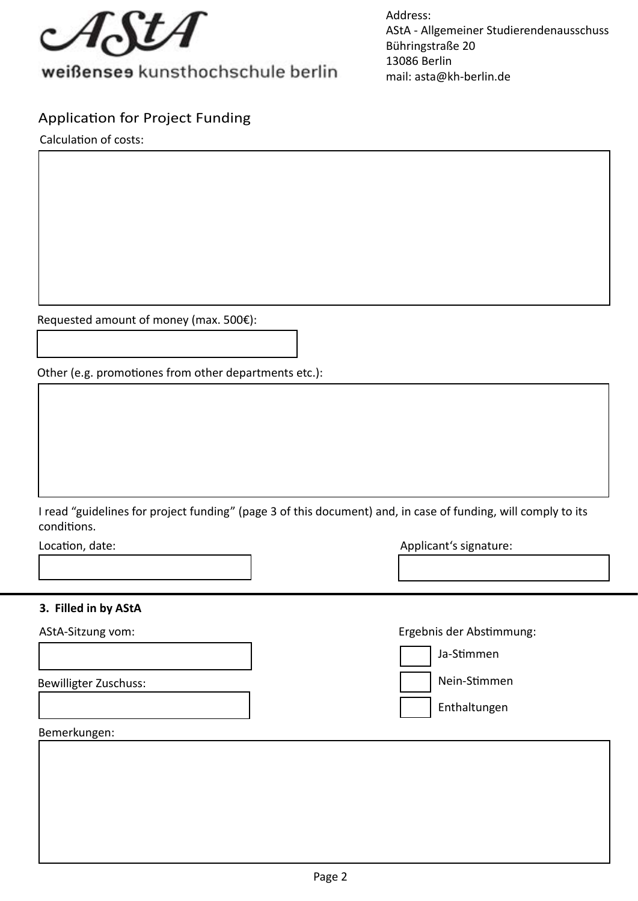

Address: AStA - Allgemeiner Studierendenausschuss Bühringstraße 20 13086 Berlin mail: asta@kh-berlin.de

### Application for Project Funding

Calculation of costs:

Requested amount of money (max. 500€):

Other (e.g. promotiones from other departments etc.):

I read "guidelines for project funding" (page 3 of this document) and, in case of funding, will comply to its conditions.

Location, date:

| Applicant's signature: |  |
|------------------------|--|
|------------------------|--|

#### **Filled in by AStA 3.**

AStA-Sitzung vom:

Bewilligter Zuschuss:

Ergebnis der Abstimmung:

Ja-Stimmen Enthaltungen Nein-Stimmen

Bemerkungen: